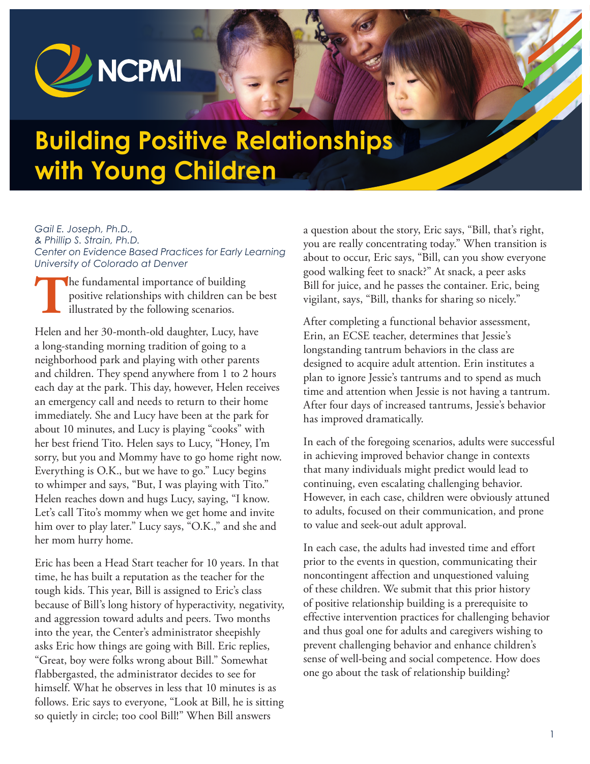

# **Building Positive Relationships with Young Children**

*Gail E. Joseph, Ph.D.,* 

*& Phillip S. Strain, Ph.D. Center on Evidence Based Practices for Early Learning University of Colorado at Denver*

The fundamental importance of building<br>positive relationships with children can lillustrated by the following scenarios. positive relationships with children can be best illustrated by the following scenarios.

Helen and her 30-month-old daughter, Lucy, have a long-standing morning tradition of going to a neighborhood park and playing with other parents and children. They spend anywhere from 1 to 2 hours each day at the park. This day, however, Helen receives an emergency call and needs to return to their home immediately. She and Lucy have been at the park for about 10 minutes, and Lucy is playing "cooks" with her best friend Tito. Helen says to Lucy, "Honey, I'm sorry, but you and Mommy have to go home right now. Everything is O.K., but we have to go." Lucy begins to whimper and says, "But, I was playing with Tito." Helen reaches down and hugs Lucy, saying, "I know. Let's call Tito's mommy when we get home and invite him over to play later." Lucy says, "O.K.," and she and her mom hurry home.

Eric has been a Head Start teacher for 10 years. In that time, he has built a reputation as the teacher for the tough kids. This year, Bill is assigned to Eric's class because of Bill's long history of hyperactivity, negativity, and aggression toward adults and peers. Two months into the year, the Center's administrator sheepishly asks Eric how things are going with Bill. Eric replies, "Great, boy were folks wrong about Bill." Somewhat flabbergasted, the administrator decides to see for himself. What he observes in less that 10 minutes is as follows. Eric says to everyone, "Look at Bill, he is sitting so quietly in circle; too cool Bill!" When Bill answers

a question about the story, Eric says, "Bill, that's right, you are really concentrating today." When transition is about to occur, Eric says, "Bill, can you show everyone good walking feet to snack?" At snack, a peer asks Bill for juice, and he passes the container. Eric, being vigilant, says, "Bill, thanks for sharing so nicely."

After completing a functional behavior assessment, Erin, an ECSE teacher, determines that Jessie's longstanding tantrum behaviors in the class are designed to acquire adult attention. Erin institutes a plan to ignore Jessie's tantrums and to spend as much time and attention when Jessie is not having a tantrum. After four days of increased tantrums, Jessie's behavior has improved dramatically.

In each of the foregoing scenarios, adults were successful in achieving improved behavior change in contexts that many individuals might predict would lead to continuing, even escalating challenging behavior. However, in each case, children were obviously attuned to adults, focused on their communication, and prone to value and seek-out adult approval.

In each case, the adults had invested time and effort prior to the events in question, communicating their noncontingent affection and unquestioned valuing of these children. We submit that this prior history of positive relationship building is a prerequisite to effective intervention practices for challenging behavior and thus goal one for adults and caregivers wishing to prevent challenging behavior and enhance children's sense of well-being and social competence. How does one go about the task of relationship building?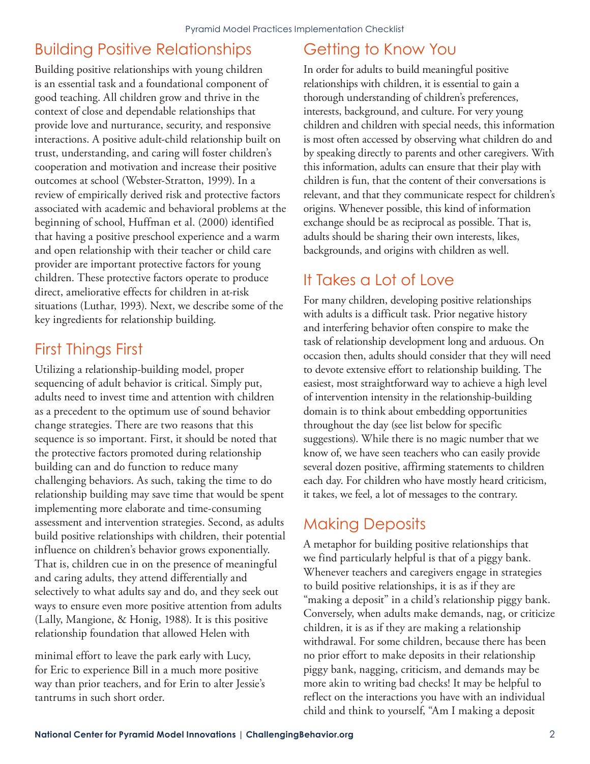## Building Positive Relationships

Building positive relationships with young children is an essential task and a foundational component of good teaching. All children grow and thrive in the context of close and dependable relationships that provide love and nurturance, security, and responsive interactions. A positive adult-child relationship built on trust, understanding, and caring will foster children's cooperation and motivation and increase their positive outcomes at school (Webster-Stratton, 1999). In a review of empirically derived risk and protective factors associated with academic and behavioral problems at the beginning of school, Huffman et al. (2000) identified that having a positive preschool experience and a warm and open relationship with their teacher or child care provider are important protective factors for young children. These protective factors operate to produce direct, ameliorative effects for children in at-risk situations (Luthar, 1993). Next, we describe some of the key ingredients for relationship building.

## First Things First

Utilizing a relationship-building model, proper sequencing of adult behavior is critical. Simply put, adults need to invest time and attention with children as a precedent to the optimum use of sound behavior change strategies. There are two reasons that this sequence is so important. First, it should be noted that the protective factors promoted during relationship building can and do function to reduce many challenging behaviors. As such, taking the time to do relationship building may save time that would be spent implementing more elaborate and time-consuming assessment and intervention strategies. Second, as adults build positive relationships with children, their potential influence on children's behavior grows exponentially. That is, children cue in on the presence of meaningful and caring adults, they attend differentially and selectively to what adults say and do, and they seek out ways to ensure even more positive attention from adults (Lally, Mangione, & Honig, 1988). It is this positive relationship foundation that allowed Helen with

minimal effort to leave the park early with Lucy, for Eric to experience Bill in a much more positive way than prior teachers, and for Erin to alter Jessie's tantrums in such short order.

#### Getting to Know You

In order for adults to build meaningful positive relationships with children, it is essential to gain a thorough understanding of children's preferences, interests, background, and culture. For very young children and children with special needs, this information is most often accessed by observing what children do and by speaking directly to parents and other caregivers. With this information, adults can ensure that their play with children is fun, that the content of their conversations is relevant, and that they communicate respect for children's origins. Whenever possible, this kind of information exchange should be as reciprocal as possible. That is, adults should be sharing their own interests, likes, backgrounds, and origins with children as well.

## It Takes a Lot of Love

For many children, developing positive relationships with adults is a difficult task. Prior negative history and interfering behavior often conspire to make the task of relationship development long and arduous. On occasion then, adults should consider that they will need to devote extensive effort to relationship building. The easiest, most straightforward way to achieve a high level of intervention intensity in the relationship-building domain is to think about embedding opportunities throughout the day (see list below for specific suggestions). While there is no magic number that we know of, we have seen teachers who can easily provide several dozen positive, affirming statements to children each day. For children who have mostly heard criticism, it takes, we feel, a lot of messages to the contrary.

#### Making Deposits

A metaphor for building positive relationships that we find particularly helpful is that of a piggy bank. Whenever teachers and caregivers engage in strategies to build positive relationships, it is as if they are "making a deposit" in a child's relationship piggy bank. Conversely, when adults make demands, nag, or criticize children, it is as if they are making a relationship withdrawal. For some children, because there has been no prior effort to make deposits in their relationship piggy bank, nagging, criticism, and demands may be more akin to writing bad checks! It may be helpful to reflect on the interactions you have with an individual child and think to yourself, "Am I making a deposit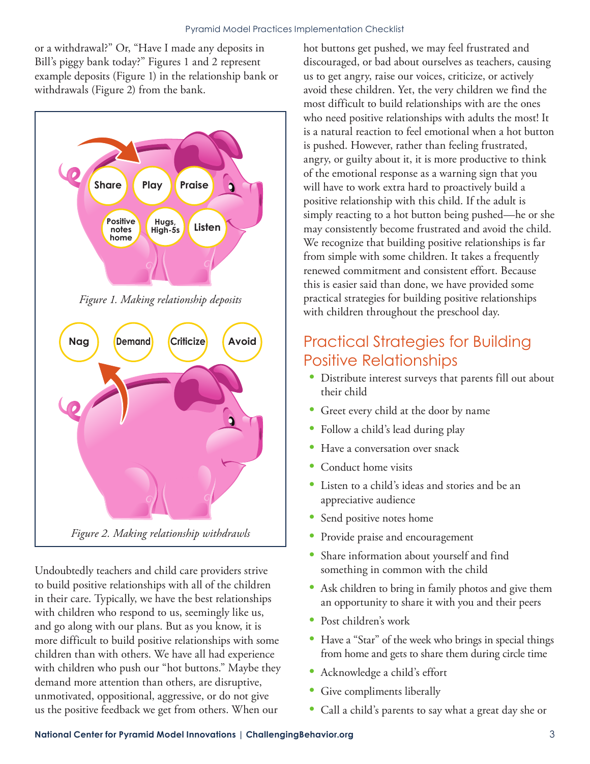or a withdrawal?" Or, "Have I made any deposits in Bill's piggy bank today?" Figures 1 and 2 represent example deposits (Figure 1) in the relationship bank or withdrawals (Figure 2) from the bank.



*Figure 1. Making relationship deposits*



Undoubtedly teachers and child care providers strive to build positive relationships with all of the children in their care. Typically, we have the best relationships with children who respond to us, seemingly like us, and go along with our plans. But as you know, it is more difficult to build positive relationships with some children than with others. We have all had experience with children who push our "hot buttons." Maybe they demand more attention than others, are disruptive, unmotivated, oppositional, aggressive, or do not give us the positive feedback we get from others. When our

hot buttons get pushed, we may feel frustrated and discouraged, or bad about ourselves as teachers, causing us to get angry, raise our voices, criticize, or actively avoid these children. Yet, the very children we find the most difficult to build relationships with are the ones who need positive relationships with adults the most! It is a natural reaction to feel emotional when a hot button is pushed. However, rather than feeling frustrated, angry, or guilty about it, it is more productive to think of the emotional response as a warning sign that you will have to work extra hard to proactively build a positive relationship with this child. If the adult is simply reacting to a hot button being pushed—he or she may consistently become frustrated and avoid the child. We recognize that building positive relationships is far from simple with some children. It takes a frequently renewed commitment and consistent effort. Because this is easier said than done, we have provided some practical strategies for building positive relationships with children throughout the preschool day.

#### Practical Strategies for Building Positive Relationships

- Distribute interest surveys that parents fill out about their child
- Greet every child at the door by name
- Follow a child's lead during play
- Have a conversation over snack
- Conduct home visits
- Listen to a child's ideas and stories and be an appreciative audience
- Send positive notes home
- Provide praise and encouragement
- Share information about yourself and find something in common with the child
- Ask children to bring in family photos and give them an opportunity to share it with you and their peers
- Post children's work
- Have a "Star" of the week who brings in special things from home and gets to share them during circle time
- Acknowledge a child's effort
- Give compliments liberally
- Call a child's parents to say what a great day she or